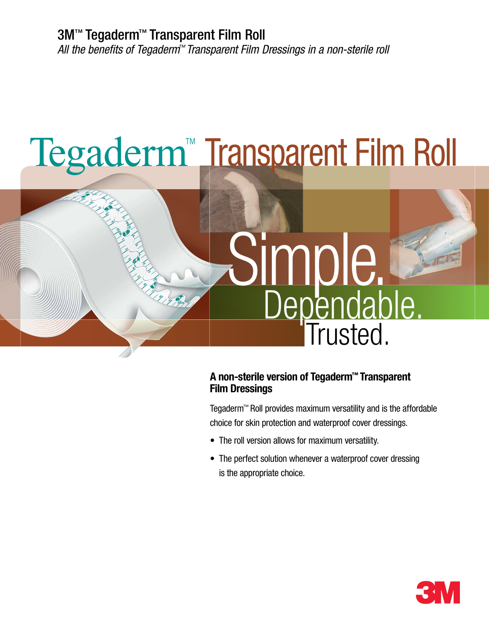# Tegaderm™ Transparent Film Roll



### **A non-sterile version of Tegaderm™ Transparent Film Dressings**

Tegaderm™ Roll provides maximum versatility and is the affordable choice for skin protection and waterproof cover dressings.

- The roll version allows for maximum versatility.
- The perfect solution whenever a waterproof cover dressing is the appropriate choice.